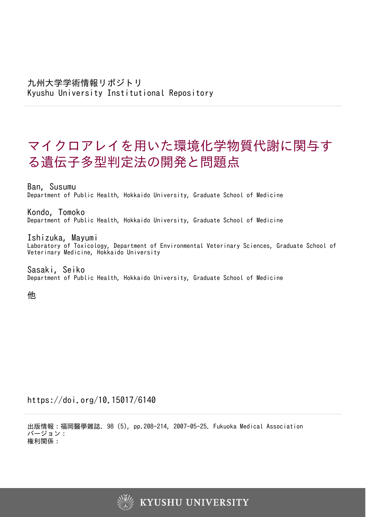# マイクロアレイを用いた環境化学物質代謝に関与す る遺伝子多型判定法の開発と問題点

Ban, Susumu Department of Public Health, Hokkaido University, Graduate School of Medicine

Kondo, Tomoko Department of Public Health, Hokkaido University, Graduate School of Medicine

Ishizuka, Mayumi Laboratory of Toxicology, Department of Environmental Veterinary Sciences, Graduate School of Veterinary Medicine, Hokkaido University

Sasaki, Seiko Department of Public Health, Hokkaido University, Graduate School of Medicine

他

https://doi.org/10.15017/6140

出版情報:福岡醫學雜誌. 98 (5), pp.208-214, 2007-05-25. Fukuoka Medical Association バージョン: 権利関係:

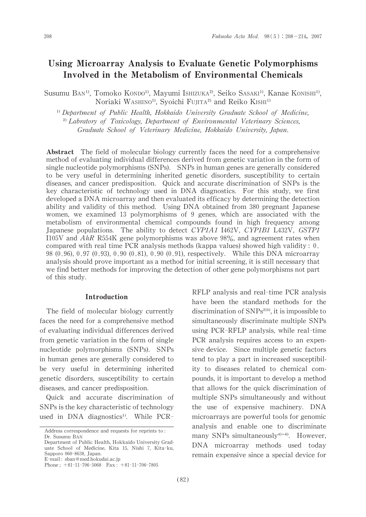# Using MicroarrayAnalysis to Evaluate Genetic Polymorphisms Involved in the Metabolism of Environmental Chemicals

Susumu BAN<sup>1)</sup>, Tomoko KONDO<sup>1)</sup>, Mayumi Ishizuka<sup>2)</sup>, Seiko SASAKI<sup>1)</sup>, Kanae KONISHI<sup>1</sup><sup>)</sup>, Noriaki WASHINO<sup>1)</sup>, Syoichi FuJITA<sup>2)</sup> and Reiko KISHI<sup>1)</sup>

<sup>1)</sup> Department of Public Health, Hokkaido University Graduate School of Medicine, <sup>2)</sup> Labratory of Toxicology, Department of Environmental Veterinary Sciences, Graduate School of Veterinary Medicine, Hokkaido University, Japan.

Abstract The field of molecular biology currently faces the need for a comprehensive method of evaluating individual differences derived from genetic variation in the form of single nucleotide polymorphisms (SNPs). SNPs in human genes are generally considered to be very useful in determining inherited genetic disorders, susceptibility to certain diseases, and cancer predisposition. Quick and accurate discrimination of SNPs is the key characteristic of technology used in DNA diagnostics. For this study, we first developed a DNA microarray and then evaluated its efficacy by determining the detection ability and validity of this method. Using DNA obtained from 380 pregnant Japanese women, we examined 13 polymorphisms of 9 genes, which are associated with the metabolism of environmental chemical compounds found in high frequency among Japanese populations. The ability to detect CYP1A1 I462V, CYP1B1 L432V, GSTP1 I105V and AhR R554K gene polymorphisms was above 98%, and agreement rates when compared with real time PCR analysis methods (kappa values) showed high validity:  $0$ . 98 (0.96),0.97 (0.93),0.90 (0.81), 0.90 (0.91), respectively. While this DNA microarray analysis should prove important as a method for initial screening, it is still necessary that we find better methods for improving the detection of other gene polymorphisms not part of this study.

#### Introduction

The field of molecular biology currently faces the need for a comprehensive method of evaluating individual differences derived from genetic variation in the form of single nucleotide polymorphisms (SNPs). SNPs in human genes are generally considered to be very useful in determining inherited genetic disorders, susceptibility to certain diseases, and cancer predisposition.

Quick and accurate discrimination of SNPs is the key characteristic of technology used in DNA diagnostics<sup>1)</sup>. While PCR-

have been the standard methods for the discrimination of  $SNPs<sup>2</sup>$ , it is impossible to simultaneously discriminate multiple SNPs using PCR-RFLP analysis, while real-time PCR analysis requires access to an expensive device. Since multiple genetic factors tend to play a part in increased susceptibility to diseases related to chemical compounds, it is important to develop a method that allows for the quick discrimination of multiple SNPs simultaneously and without the use of expensive machinery. DNA microarrays are powerful tools for genomic analysis and enable one to discriminate many SNPs simultaneously $4^{3-6}$ . However, DNA microarray methods used today remain expensive since a special device for

RFLP analysis and real-time PCR analysis

Address correspondence and requests for reprints to:

Dr.Susumu BAN Department of Public Health, Hokkaido University Graduate School of Medicine, Kita 15, Nishi 7, Kita-ku, Sapporo 060-8638, Japan. E-mail: sban@med.hokudai.ac.jp

Phone;  $+81-11-706-5068$  Fax:  $+81-11-706-7805$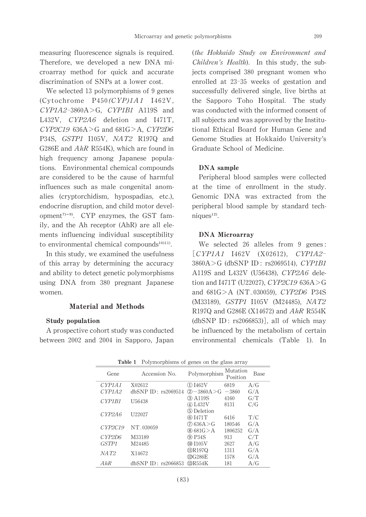measuring fluorescence signals is required. Therefore, we developed a new DNA microarray method for quick and accurate discrimination of SNPs at a lower cost.

We selected 13 polymorphisms of 9 genes (Cytochrome P450(CYP)1A1 I462V, CYP1A2-3860A>G, CYP1B1 A119S and L432V, CYP2A6 deletion and I471T, CYP2C19 636A>G and 681G>A, CYP2D6 P34S, GSTP1 I105V, NAT2 R197Q and G286E and  $AhR$  R554K), which are found in high frequency among Japanese populations. Environmental chemical compounds are considered to be the cause of harmful influences such as male congenital anomalies (cryptorchidism, hypospadias, etc.), endocrine disruption, and child motor development<sup> $7\sim 9$ </sup>. CYP enzymes, the GST family, and the Ah receptor (AhR) are all elements influencing individual susceptibility to environmental chemical compounds<sup>10111</sup>.

In this study, we examined the usefulness of this array by determining the accuracy and ability to detect genetic polymorphisms using DNA from 380 pregnant Japanese women.

### Material and Methods

#### Study population

A prospective cohort study was conducted between 2002 and 2004 in Sapporo, Japan (the Hokkaido Study on Environment and Children's Health). In this study, the subjects comprised 380 pregnant women who enrolled at 23-35 weeks of gestation and successfully delivered single, live births at the Sapporo Toho Hospital. The study was conducted with the informed consent of all subjects and was approved by the Institutional Ethical Board for Human Gene and Genome Studies at Hokkaido University's Graduate School of Medicine.

#### DNA sample

Peripheral blood samples were collected at the time of enrollment in the study. Genomic DNA was extracted from the peripheral blood sample by standard techniques<sup>12)</sup>.

#### DNA Microarray

We selected 26 alleles from 9 genes: [CYP1A1 I462V (X02612), CYP1A2- 3860A>G (dbSNP ID : rs2069514), CYP1B1 A119S and L432V (U56438), CYP2A6 deletion and I471T (U22027), CYP2C19 636A>G and  $681G > A (NT_030059)$ , *CYP2D6* P34S (M33189), GSTP1 I105V (M24485), NAT2 R197Q and G286E (X14672) and  $AhR$  R554K  $(dbsNP ID: rs2066853)$ ], all of which may be influenced by the metabolism of certain environmental chemicals (Table 1). In

| Tanic T<br>T 01ymol phisms of genes on the glass array |                         |                                    |                      |            |
|--------------------------------------------------------|-------------------------|------------------------------------|----------------------|------------|
| Gene                                                   | Accession No.           | Polymorphism                       | Mutation<br>Position | Base       |
| CYP1A1                                                 | X02612                  | (1) I462V                          | 6819                 | A/G        |
| CYP1A2                                                 | dbSNP ID: rs2069514     | $(2) - 3860A > G$                  | $-3860$              | G/A        |
| CYP1B1                                                 | U <sub>56438</sub>      | (3) A119S<br>4 L432V               | 4160<br>8131         | G/T<br>C/G |
| CYP2A6                                                 | U <sub>22027</sub>      | 5 Deletion<br>60 I471 T            | 6416                 | T/C        |
| CYP2C19                                                | NT_030059               | (7) 636A > G<br>⊗681G>A            | 180546<br>1806252    | G/A<br>G/A |
| CYP2D6                                                 | M33189                  | (9) P34S                           | 913                  | C/T        |
| GSTP <sub>1</sub>                                      | M24485                  | $\Omega$ I105V                     | 2627                 | A/G        |
| NAT <sub>2</sub>                                       | X14672                  | <b><i>IDR197Q</i></b><br>(12)G286E | 1311<br>1578         | G/A<br>G/A |
| AhR                                                    | $dbSNP$ ID: $rs2066853$ | (I3)R554K                          | 181                  | A/G        |

Table 1 Polymorphisms of genes on the glass array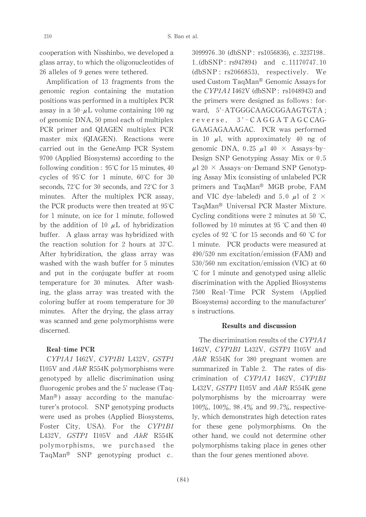cooperation with Nisshinbo, we developed a glass array, to which the oligonucleotides of 26 alleles of 9 genes were tethered.

Amplification of 13 fragments from the genomic region containing the mutation positions was performed in a multiplex PCR assay in a  $50-\mu L$  volume containing 100 ng of genomic DNA, 50 pmoleach of multiplex PCR primer and QIAGEN multiplex PCR master mix (QIAGEN). Reactions were carried out in the GeneAmp PCR System 9700 (Applied Biosystems) according to the following condition:  $95^{\circ}$ C for 15 minutes, 40 cycles of 95°C for 1 minute, 60°C for 30 seconds, 72°C for 30 seconds, and 72°C for 3 minutes. After the multiplex PCR assay, the PCR products were then treated at 95°C for 1 minute, on ice for 1 minute, followed by the addition of 10  $\mu$ L of hybridization buffer. A glass array was hybridized with the reaction solution for 2 hours at 37°C. After hybridization, the glass array was washed with the wash buffer for 5 minutes and put in the conjugate buffer at room temperature for 30 minutes. After washing, the glass array was treated with the coloring buffer at room temperature for 30 minutes. After the drying, the glass array was scanned and gene polymorphisms were discerned.

## Real-time PCR

CYP1A1 I462V, CYP1B1 L432V, GSTP1 I105V and  $AhR$  R554K polymorphisms were genotyped by allelic discrimination using fluorogenic probes and the  $5'$  nuclease (Taq- $Man^{\circledR}$  assay according to the manufacturer's protocol. SNP genotyping products were used as probes (Applied Biosystems, Foster City, USA). For the CYP1B1 L432V, GSTP1 I105V and AhR R554K polymorphisms, we purchased the TaqMan<sup>®</sup> SNP genotyping product  $c_$ 

3099976<sub>-30</sub> (dbSNP: rs1056836), c<sub>-3237198</sub>  $1-(dbSNP:rs947894)$  and  $c_11170747_10$ (dbSNP : rs2066853), respectively. We used Custom TaqMan<sup>®</sup> Genomic Assays for the CYP1A1 I462V (dbSNP:  $rs1048943$ ) and the primers were designed as follows: forward, 5'-ATGGGCAAGCGGAAGTGTA ; reverse, 3'-CA G G A T A G C CAG-GAAGAGAAAGAC. PCR was performed in 10  $\mu$ l, with approximately 40 ng of genomic DNA, 0.25  $\mu$ 1 40  $\times$  Assays-by-Design SNP Genotyping Assay Mix or 0.5  $\mu$ 1 20 × Assays-on-Demand SNP Genotyping Assay Mix (consisting of unlabeled PCR primers and TaqMan® MGB probe, FAM and VIC dye-labeled) and 5.0  $\mu$ l of 2  $\times$ TaqMan좲 Universal PCR Master Mixture. Cycling conditions were 2 minutes at 50°C, followed by 10 minutes at 95 °C and then 40 cycles of 92 °C for 15 seconds and 60°C for 1 minute. PCR products were measured at  $490/520$  nm excitation/emission (FAM) and 530/560 nm excitation/emission (VIC) at 60 °C for 1 minute and genotyped using allelic discrimination with the Applied Biosystems 7500 Real-Time PCR System (Applied Biosystems) according to the manufacturer' s instructions.

#### Results and discussion

The discrimination results of the CYP1A1 I462V, CYP1B1 L432V, GSTP1 I105V and AhR R554K for 380 pregnant women are summarized in Table 2. The rates of discrimination of CYP1A1 I462V, CYP1B1 L432V,  $GSTPI$  I105V and  $AhR$  R554K gene polymorphisms by the microarray were 100%, 100%, 98.4% and 99.7%, respectively, which demonstrates high detection rates for these gene polymorphisms. On the other hand, we could not determine other polymorphisms taking place in genes other than the four genes mentioned above.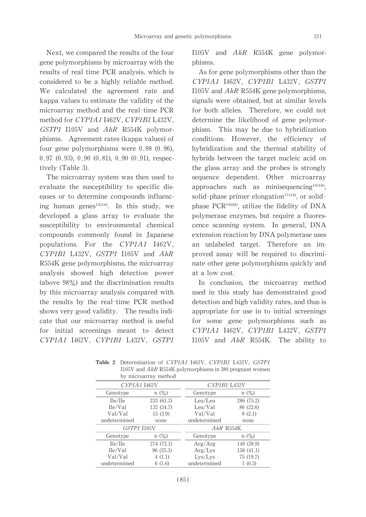undetermined  $6(1.6)$  undetermined  $1(0.3)$ 

Next, we compared the results of the four gene polymorphisms by microarray with the results of real time PCR analysis, which is considered to be a highly reliable method. We calculated the agreement rate and kappa values to estimate the validity of the microarray method and the real-time PCR method for CYP1A1 I462V, CYP1B1 L432V, GSTP1 I105V and AhR R554K polymorphisms. Agreement rates (kappa values) of four gene polymorphisms were 0.98 (0.96), 0.97 (0.93), 0.90 (0.81), 0.90 (0.91), respectively (Table 3).

The microarray system was then used to evaluate the susceptibility to specific diseases or to determine compounds influencing human genes $^{13}$ <sup>14)</sup>. In this study, we developed a glass array to evaluate the susceptibility to environmental chemical compounds commonly found in Japanese populations. For the CYP1A1 I462V, CYP1B1 L432V, GSTP1 I105V and AhR R554K gene polymorphisms, the microarray analysis showed high detection power (above 98%) and the discrimination results by this microarray analysis compared with the results by the real-time PCR method shows very good validity. The results indicate that our microarray method is useful for initial screenings meant to detect CYP1A1 I462V, CYP1B1 L432V, GSTP1

Genotype

I105V and AhR R554K gene polymorphisms.

As for gene polymorphisms other than the CYP1A1 I462V, CYP1B1 L432V, GSTP1 I105V and  $AhR$  R554K gene polymorphisms, signals were obtained, but at similar levels for both alleles. Therefore, we could not determine the likelihood of gene polymorphism. This may be due to hybridization conditions. However, the efficiency of hybridization and the thermal stability of hybrids between the target nucleic acid on the glass array and the probes is strongly sequence dependent. Other microarray approaches such as minisequencing $15116$ , solid-phase primer elongation $1718$ , or solidphase PCR $19)20$ , utilize the fidelity of DNA polymerase enzymes, but require a fluorescence scanning system. In general, DNA extension reaction by DNA polymerase uses an unlabeled target. Therefore an improved assay will be required to discriminate other gene polymorphisms quickly and at a low cost.

In conclusion, the microarray method used in this study has demonstrated good detection and high validity rates, and thus is appropriate for use in to initial screenings for some gene polymorphisms such as CYP1A1 I462V, CYP1B1 L432V, GSTP1 I105V and AhR R554K. The ability to

|              |                      | Decentration of CITILITY THEM, CITIDI BROWN, GOILI          |            |
|--------------|----------------------|-------------------------------------------------------------|------------|
|              |                      | $1105V$ and $AhR$ R554K polymorphisms in 380 pregnant women |            |
|              | by microarray method |                                                             |            |
| CYP1A1 I462V |                      | CYP1B1 L432V                                                |            |
| Genotype     | $n(\%)$              | Genotype                                                    | $n(\%)$    |
| Ile/Ile      | 233 (61.3)           | Leu/Leu                                                     | 286 (75.2) |
| Ile/Val      | 132 (34.7)           | Leu/Val                                                     | 86 (22.6)  |
| Val/Val      | 15(3.9)              | Val/Val                                                     | 8(2.1)     |
| undetermined | none                 | undetermined                                                | none       |

Table 2 Determination of CYP1A1 I462V, CYP1B1 L432V, GSTP1  $1105V$  and  $AhR$  R554K polymorphisms in 380 pregnant women

| CITIAL 1402V       |            |              | UIFIDI LHƏZV |  |  |
|--------------------|------------|--------------|--------------|--|--|
| Genotype           | $n(\%)$    | Genotype     | n(%)         |  |  |
| Ile/Ile            | 233 (61.3) | Leu/Leu      | 286 (75.2)   |  |  |
| Ile/Val            | 132 (34.7) | Leu/Val      | 86 (22.6)    |  |  |
| Val/Val            | 15(3.9)    | Val/Val      | 8(2.1)       |  |  |
| determined         | none       | undetermined | none         |  |  |
| <b>GSTP1 I105V</b> |            |              | $AhR$ R554K  |  |  |
| Genotype           | $n(\%)$    | Genotype     | n(%)         |  |  |
| Ile/Ile            | 274 (72.1) | Arg/Arg      | 148 (38.9)   |  |  |
| Ile/Val            | 96 (25.3)  | Arg/Lys      | 156 (41.1)   |  |  |
| Val/Val            | 4(1.1)     | Lvs/Lvs      | 75 (19.7)    |  |  |
|                    |            |              |              |  |  |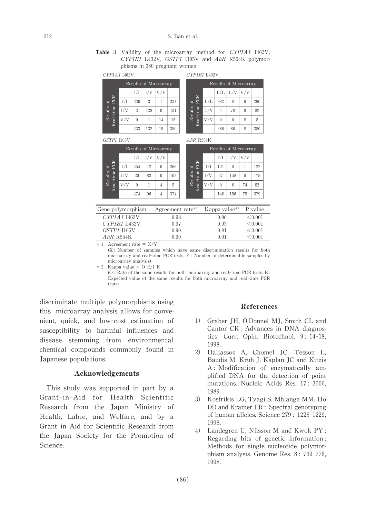Table 3 Validity of the microarray method for CYP1A1 I462V, CYP1B1 L432V, GSTP1 I105V and AhR R554K polymorphisms in 380 pregnant women

| CYP1A1 I462V    |                       |     |     |                  |     | CYP1B1 L432V        |  |   |
|-----------------|-----------------------|-----|-----|------------------|-----|---------------------|--|---|
|                 | Results of Microarray |     |     |                  |     | Rest                |  |   |
|                 |                       | I/I | I/V | V/V              |     |                     |  | T |
| Ъ<br>≏          | I/I                   | 230 | 3   |                  | 234 | $\approx$<br>ð<br>Ă |  | é |
| time<br>Results | I/V                   | 3   | 128 | $\left( \right)$ | 131 | Results<br>time     |  |   |
| eal             | V/V                   | 0   |     | 14               | 15  | $Real-$             |  |   |
| $\simeq$        |                       | 233 | 132 | 15               | 380 |                     |  |   |

|                    | Results of Microarray |          |                   |          |     |
|--------------------|-----------------------|----------|-------------------|----------|-----|
|                    |                       |          | $L/L$ $L/V$ $V/V$ |          |     |
| E                  | L/L                   | 282      | 8                 |          | 290 |
| Results of<br>time | L/V                   | 4        | 78                | $\theta$ | 82  |
| Real               | V/V                   | $\theta$ | $\theta$          | 8        |     |
|                    |                       | 286      | 86                |          | 380 |

GSTP1 I105V

 $AhR$  R554K

|                                         | Results of Microarray |          |     |          |     |  |
|-----------------------------------------|-----------------------|----------|-----|----------|-----|--|
|                                         |                       | I/I      | I/V | V/V      |     |  |
|                                         | I/I                   | 254      | 12  | 0        | 266 |  |
| Results of<br>aal-time PCR<br>Real-time | I/V                   | 20       | 83  | $\theta$ | 103 |  |
|                                         | V/V                   | $\theta$ |     | 4        | 5   |  |
|                                         |                       | 274      | 96  |          | 374 |  |

|                                           | Results of Microarray |     |     |          |     |  |
|-------------------------------------------|-----------------------|-----|-----|----------|-----|--|
| PCR<br>Results of<br>time<br>$\rm Real^-$ |                       | I/I | I/V | V/V      |     |  |
|                                           | I/I                   | 121 | 0   |          | 122 |  |
|                                           | I/V                   | 27  | 148 | $\theta$ | 175 |  |
|                                           | V/V                   |     | 8   | 74       | 82  |  |
|                                           |                       | 148 | 156 | 75       | 379 |  |

| Gene polymorphism | Agreement rate <sup>*1</sup> | Kappa value <sup>*2</sup> | P value      |
|-------------------|------------------------------|---------------------------|--------------|
| CYP1A1 1462V      | 0.98                         | 0.96                      | < 0.001      |
| CYP1B1 L432V      | 0.97                         | 0.93                      | $\leq 0.001$ |
| GSTP1 I105V       | 0.90                         | 0.81                      | ${}_{0.001}$ |
| $AhR$ R554K       | 0.90                         | 0.91                      | < 0.001      |
|                   | $- - -$                      |                           |              |

 $* 1:$  Agreement rate =  $X/Y$ 

 $(X:$  Number of samples which have same discrimination results for both microarray and real-time PCR tests, Y : Number of determinable samples by microarray analysis)

 $* 2:$  Kappa value = O-E/1-E

 $(0:$  Rate of the same results for both microarray and real-time PCR tests, E: Expected value of the same results for both microarray and real-time PCR tests)

discriminate multiple polymorphisms using this microarray analysis allows for convenient, quick, and low-cost estimation of susceptibility to harmful influences and disease stemming from environmental chemical compounds commonly found in Japanese populations.

#### Acknowledgements

This study was supported in part by a Grant-in-Aid for Health Scientific Research from the Japan Ministry of Health, Labor, and Welfare, and by a Grant-in-Aid for Scientific Research from the Japan Society for the Promotion of Science.

#### References

- 1) Graber JH, O'Donnel MJ, Smith CL and Cantor CR : Advances in DNA diagnostics. Curr. Opin. Biotechnol. 9: 14-18, 1998.
- 2) Haliassos A, Chomel JC, Tesson L, Baudis M, Kruh J, Kaplan JC and Kitzis A : Modification of enzymatically amplified DNA for the detection of point mutations. Nucleic Acids Res. 17: 3606, 1989.
- 3) Kostrikis LG, Tyagi S, Mhlanga MM, Ho DD and Kramer FR : Spectral genotyping of human alleles. Science 279 : 1228-1229, 1998.
- 4) Landegren U, Nilsson M and Kwok PY: Regarding bits of genetic information: Methods for single-nucleotide polymorphism analysis. Genome Res. 8: 769-776, 1998.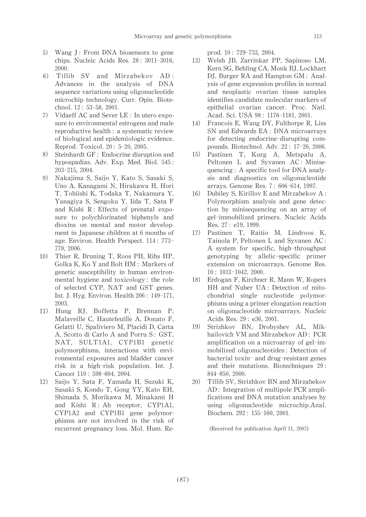- 5) Wang J: From DNA biosensors to gene chips. Nucleic Acids Res. 28: 3011-3016, 2000.
- 6) Tillib SV and Mirzabekov AD: Advances in the analysis of DNA sequence variations using oligonucleotide microchip technology. Curr. Opin. Biotechnol.12: 53-58,2001.
- 7) VidaeffAC and SeverLE : In utero exposure to environmental estrogens and male reproductive health: a systematic review of biological and epidemiologic evidence. Reprod.Toxicol.20: 5-20,2005.
- 8) Steinhardt GF : Endocrine disruption and hypospadias. Adv. Exp. Med. Biol. 545: 203-215,2004.
- 9) Nakajima S, Saijo Y, Kato S, Sasaki S, Uno A, Kanagami N, Hirakawa H, Hori T, Tobiishi K, Todaka T, Nakamura Y, Yanagiya S, Sengoku Y, Iida T, Sata F and Kishi  $R$ : Effects of prenatal exposure to polychlorinated biphenyls and dioxins on mental and motor development in Japanese children at 6 months of age. Environ.Health Perspect. 114: 773- 778,2006.
- 10) Thier R, Bruning T, Roos PH, Rihs HP, Golka K, Ko Y and Bolt HM : Markers of genetic susceptibility in human environmental hygiene and toxicology: the role of selected CYP, NAT and GST genes. Int.J.Hyg.Environ.Health 206: 149-171, 2003.
- 11) Hung RJ, Boffetta P, Brennan P, Malaveille C, Hautefeuille A, Donato F, Gelatti U, Spaliviero M, Placidi D, Carta A, Scotto di Carlo A and Porru S: GST, NAT, SULT1A1, CYP1B1 genetic polymorphisms, interactions with environmental exposures and bladder cancer risk in a high-risk population. Int. J. Cancer 110: 598-604, 2004.
- 12) Saijo Y, Sata F, Yamada H, Suzuki K, Sasaki S, Kondo T, Gong YY, Kato EH, Shimada S, Morikawa M, Minakami H and Kishi  $R: Ah$  receptor, CYP1A1, CYP1A2 and CYP1B1 gene polymorphisms are not involved in the risk of recurrent pregnancy loss. Mol. Hum. Re-

prod.10: 729-733,2004.

- 13) Welsh JB, Zarrinkar PP, Sapinoso LM, Kern SG, Behling CA, Monk BJ, Lockhart DJ, Burger RA and Hampton GM : Analysis of gene expression profiles in normal and neoplastic ovarian tissue samples identifies candidate molecular markers of epithelial ovarian cancer. Proc. Natl. Acad. Sci. USA 98: 1176-1181, 2001.
- 14) Francois E, Wang DY, Fulthorpe R, Liss SN and Edwards EA : DNA microarrays for detecting endocrine-disrupting compounds. Biotechnol. Adv. 22: 17-26, 2006.
- 15) Pastinen T, Kurg A, Metspalu A, Peltonen L and Syvanen AC: Minisequencing : A specific tool for DNA analysis and diagnostics on oligonucleotide arrays.Genome Res.7: 606-614,1997.
- 16) Dubiley S, Kirillov E and Mirzabekov A: Polymorphism analysis and gene detection by minisequencing on an array of gel-immobilized primers. Nucleic Acids Res.27: e19,1999.
- 17) Pastinen T, Raitio M, Lindroos K, Tainola P, Peltonen L and Syvanen AC : A system for specific, high-throughput genotyping by allelic-specific primer extension on microarrays. Genome Res. 10: 1031-1042,2000.
- 18) Erdogan F, Kirchner R, Mann W, Ropers HH and Nuber UA : Detection of mitochondrial single nucleotide polymorphisms using a primer elongation reaction on oligonucleotide microarrays. Nucleic Acids Res.29 : e36,2001.
- 19) Strizhkov BN, Drobyshev AL, Mikhailovich VM and Mirzabekov AD : PCR amplification on a microarray of gel-immobilized oligonucleotides: Detection of bacterial toxin-and drug-resistant genes and their mutations. Biotechniques 29 : 844-850,2000.
- 20) Tillib SV, Strizhkov BN and Mirzabekov AD: Integration of multipole PCR amplifications and DNA mutation analyses by using oligonucleotide microchip.Anal. Biochem.292: 155-160,2001.

(Received for publication April 11,2007)

213